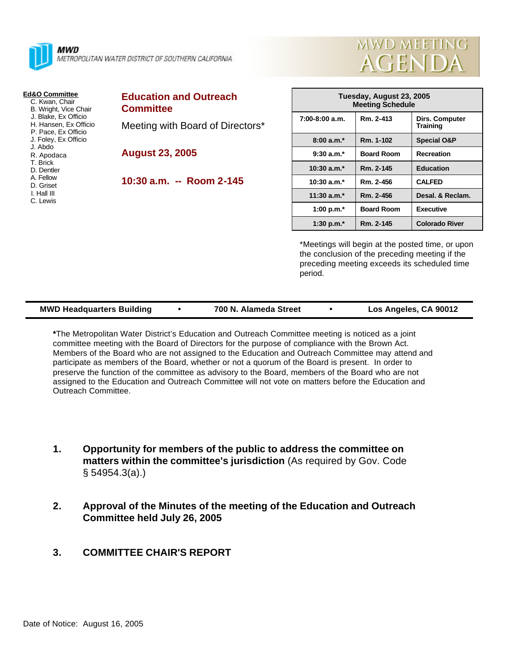

MWD METROPOLITAN WATER DISTRICT OF SOUTHERN CALIFORNIA

#### **Ed&O Committee**

- C. Kwan, Chair B. Wright, Vice Chair J. Blake, Ex Officio H. Hansen, Ex Officio P. Pace, Ex Officio J. Foley, Ex Officio J. Abdo R. Apodaca T. Brick D. Dentler A. Fellow
- D. Griset
- I. Hall III
- C. Lewis
- 

# **Education and Outreach Committee**

Meeting with Board of Directors\*

**August 23, 2005**

**10:30 a.m. -- Room 2-145**

| Tuesday, August 23, 2005<br><b>Meeting Schedule</b> |                   |                            |
|-----------------------------------------------------|-------------------|----------------------------|
| $7:00-8:00$ a.m.                                    | Rm. 2-413         | Dirs. Computer<br>Training |
| $8:00a.m.*$                                         | Rm. 1-102         | <b>Special O&amp;P</b>     |
| $9:30$ a.m. <sup>*</sup>                            | <b>Board Room</b> | Recreation                 |
| $10:30$ a.m. <sup>*</sup>                           | Rm. 2-145         | <b>Education</b>           |
| $10:30 a.m.*$                                       | Rm. 2-456         | <b>CALFED</b>              |
| 11:30 $a.m.*$                                       | Rm. 2-456         | Desal. & Reclam.           |
| 1:00 p.m. $*$                                       | <b>Board Room</b> | <b>Executive</b>           |
| 1:30 p.m. $*$                                       | Rm. 2-145         | <b>Colorado River</b>      |

**MWD MEETING** 

**AGENDA** 

\*Meetings will begin at the posted time, or upon the conclusion of the preceding meeting if the preceding meeting exceeds its scheduled time period.

#### **MWD Headquarters Building**  $\bullet$  **700 N. Alameda Street**  $\bullet$  Los Angeles, CA 90012

**\***The Metropolitan Water District's Education and Outreach Committee meeting is noticed as a joint committee meeting with the Board of Directors for the purpose of compliance with the Brown Act. Members of the Board who are not assigned to the Education and Outreach Committee may attend and participate as members of the Board, whether or not a quorum of the Board is present. In order to preserve the function of the committee as advisory to the Board, members of the Board who are not assigned to the Education and Outreach Committee will not vote on matters before the Education and Outreach Committee.

- **1. Opportunity for members of the public to address the committee on matters within the committee's jurisdiction** (As required by Gov. Code § 54954.3(a).)
- **2. Approval of the Minutes of the meeting of the Education and Outreach Committee held July 26, 2005**
- **3. COMMITTEE CHAIR'S REPORT**